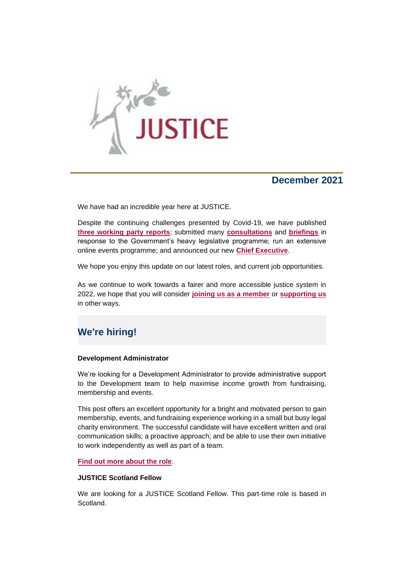

# **December 2021**

We have had an incredible year here at JUSTICE.

Despite the continuing challenges presented by Covid-19, we have published **[three working party reports](https://support.justice.org.uk/page.redir?target=https%3a%2f%2fjustice.org.uk%2four-work%2fworking-parties%2f&srcid=18141&srctid=1&erid=1251791&trid=1bfb2286-88ef-46c9-96e9-5e74398902ca)**; submitted many **[consultations](https://support.justice.org.uk/page.redir?target=https%3a%2f%2fjustice.org.uk%2four-work%2fbcr%2fconsultations%2f&srcid=18141&srctid=1&erid=1251791&trid=1bfb2286-88ef-46c9-96e9-5e74398902ca)** and **[briefings](https://support.justice.org.uk/page.redir?target=https%3a%2f%2fjustice.org.uk%2four-work%2fbcr%2fbriefings%2f&srcid=18141&srctid=1&erid=1251791&trid=1bfb2286-88ef-46c9-96e9-5e74398902ca)** in response to the Government's heavy legislative programme; run an extensive online events programme; and announced our new **[Chief Executive](https://support.justice.org.uk/page.redir?target=https%3a%2f%2fjustice.org.uk%2fnew-chief-executive-announced%2f&srcid=18141&srctid=1&erid=1251791&trid=1bfb2286-88ef-46c9-96e9-5e74398902ca)**.

We hope you enjoy this update on our latest roles, and current job opportunities.

As we continue to work towards a fairer and more accessible justice system in 2022, we hope that you will consider **[joining us as a member](https://support.justice.org.uk/page.redir?target=https%3a%2f%2fjustice.org.uk%2fsupport-justice%2fjoin-justice%2fjoin-justice%2f&srcid=18141&srctid=1&erid=1251791&trid=1bfb2286-88ef-46c9-96e9-5e74398902ca)** or **[supporting us](https://support.justice.org.uk/page.redir?target=https%3a%2f%2fjustice.org.uk%2fsupport-justice%2fdonate%2f&srcid=18141&srctid=1&erid=1251791&trid=1bfb2286-88ef-46c9-96e9-5e74398902ca)** in other ways.

# **We're hiring!**

#### **Development Administrator**

We're looking for a Development Administrator to provide administrative support to the Development team to help maximise income growth from fundraising, membership and events.

This post offers an excellent opportunity for a bright and motivated person to gain membership, events, and fundraising experience working in a small but busy legal charity environment. The successful candidate will have excellent written and oral communication skills; a proactive approach; and be able to use their own initiative to work independently as well as part of a team.

#### **[Find out more](https://support.justice.org.uk/page.redir?target=https%3a%2f%2fjustice.org.uk%2fabout-us%2fvacancies%2f&srcid=18141&srctid=1&erid=1251791&trid=1bfb2286-88ef-46c9-96e9-5e74398902ca) about the role**.

#### **JUSTICE Scotland Fellow**

We are looking for a JUSTICE Scotland Fellow. This part-time role is based in Scotland.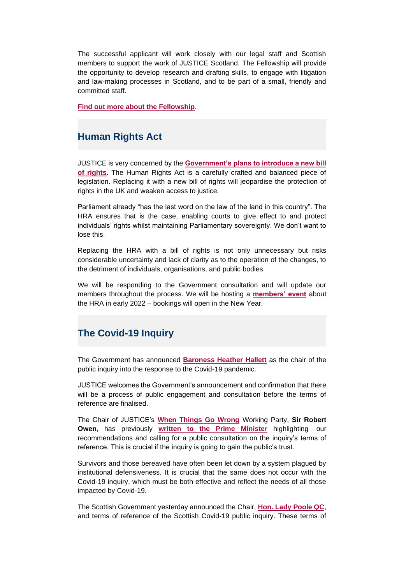The successful applicant will work closely with our legal staff and Scottish members to support the work of JUSTICE Scotland. The Fellowship will provide the opportunity to develop research and drafting skills, to engage with litigation and law-making processes in Scotland, and to be part of a small, friendly and committed staff.

**[Find out more about the Fellowship](https://support.justice.org.uk/page.redir?target=https%3a%2f%2fjustice.org.uk%2fabout-us%2fvacancies%2f&srcid=18141&srctid=1&erid=1251791&trid=1bfb2286-88ef-46c9-96e9-5e74398902ca)**.

### **Human Rights Act**

JUSTICE is very concerned by the **[Government's plans to introduce a new bill](https://support.justice.org.uk/page.redir?target=https%3a%2f%2ft.co%2fUK0Z7XOT7y&srcid=18141&srctid=1&erid=1251791&trid=1bfb2286-88ef-46c9-96e9-5e74398902ca)  [of rights](https://support.justice.org.uk/page.redir?target=https%3a%2f%2ft.co%2fUK0Z7XOT7y&srcid=18141&srctid=1&erid=1251791&trid=1bfb2286-88ef-46c9-96e9-5e74398902ca)**. The Human Rights Act is a carefully crafted and balanced piece of legislation. Replacing it with a new bill of rights will jeopardise the protection of rights in the UK and weaken access to justice.

Parliament already "has the last word on the law of the land in this country". The HRA ensures that is the case, enabling courts to give effect to and protect individuals' rights whilst maintaining Parliamentary sovereignty. We don't want to lose this.

Replacing the HRA with a bill of rights is not only unnecessary but risks considerable uncertainty and lack of clarity as to the operation of the changes, to the detriment of individuals, organisations, and public bodies.

We will be responding to the Government consultation and will update our members throughout the process. We will be hosting a **[members' event](https://support.justice.org.uk/page.redir?target=http%3a%2f%2fjustice.org.uk%2fsupport-justice%2fjoin-justice%2fjoin-justice%2f&srcid=18141&srctid=1&erid=1251791&trid=1bfb2286-88ef-46c9-96e9-5e74398902ca)** about the HRA in early 2022 – bookings will open in the New Year.

### **The Covid-19 Inquiry**

The Government has announced **[Baroness Heather Hallett](https://support.justice.org.uk/page.redir?target=https%3a%2f%2fwww.gov.uk%2fgovernment%2fnews%2fprime-minister-announces-covid-19-inquiry-chair&srcid=18141&srctid=1&erid=1251791&trid=1bfb2286-88ef-46c9-96e9-5e74398902ca)** as the chair of the public inquiry into the response to the Covid-19 pandemic.

JUSTICE welcomes the Government's announcement and confirmation that there will be a process of public engagement and consultation before the terms of reference are finalised.

The Chair of JUSTICE's **[When Things Go Wrong](https://support.justice.org.uk/page.redir?target=https%3a%2f%2fjustice.org.uk%2four-work%2fsystem-wide-reform%2fwhen-things-go-wrong%2f&srcid=18141&srctid=1&erid=1251791&trid=1bfb2286-88ef-46c9-96e9-5e74398902ca)** Working Party, **Sir Robert Owen**, has previously **[written to the Prime Minister](https://support.justice.org.uk/page.redir?target=https%3a%2f%2fjustice.org.uk%2fletter-to-pm-covid-inquiry%2f&srcid=18141&srctid=1&erid=1251791&trid=1bfb2286-88ef-46c9-96e9-5e74398902ca)** highlighting our recommendations and calling for a public consultation on the inquiry's terms of reference. This is crucial if the inquiry is going to gain the public's trust.

Survivors and those bereaved have often been let down by a system plagued by institutional defensiveness. It is crucial that the same does not occur with the Covid-19 inquiry, which must be both effective and reflect the needs of all those impacted by Covid-19.

The Scottish Government yesterday announced the Chair, **[Hon. Lady Poole QC](https://support.justice.org.uk/page.redir?target=https%3a%2f%2fwww.gov.scot%2fnews%2fcovid-public-inquiry%2f&srcid=18141&srctid=1&erid=1251791&trid=1bfb2286-88ef-46c9-96e9-5e74398902ca)**, and terms of reference of the Scottish Covid-19 public inquiry. These terms of